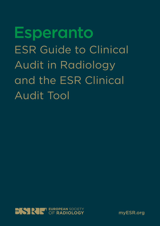**Esperanto** ESR Guide to Clinical Audit in Radiology and the ESR Clinical Audit Tool



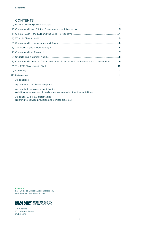## **CONTENTS**

| 9) Clinical Audit: Internal Departmental vs. External and the Relationship to Inspection 9                    |  |
|---------------------------------------------------------------------------------------------------------------|--|
|                                                                                                               |  |
|                                                                                                               |  |
|                                                                                                               |  |
| Appendices                                                                                                    |  |
| Appendix 1, draft blank template                                                                              |  |
| Appendix 2, regulatory audit topics<br>(relating to regulation of medical exposures using ionising radiation) |  |
|                                                                                                               |  |

 Appendix 3, clinical audit topics (relating to service provision and clinical practice)

Esperanto ESR Guide to Clinical Audit in Radiology and the ESR Clinical Audit Tool



Am Gestade 1 1010 Vienna, Austria myESR.org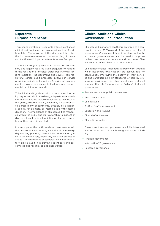## **Esperanto Purpose and Scope**

This second iteration of Esperanto offers an enhanced clinical audit guide and an expanded section of audit templates. The purpose of this document is to further increase awareness and understanding of clinical audit within radiology departments across Europe.

There is a strong emphasis in Esperanto on compulsory and legally required audit (regulatory) relating to the regulation of medical exposures involving ionising radiation. The document also covers (non-regulatory) clinical audit processes involved in service provision and clinical practice. A series of example audit templates is included to facilitate local departmental participation in audit.

This clinical audit guide also discusses how audit activity may occur within a radiology department-namely, internal audit at the departmental level (a key focus of the guide), external audit (which may be co-ordinated across many departments, possibly by a national society for example) or internal audit with external direction. The importance of clinical audit as mandated within the BSSD and its relationship to inspection (by the relevant national radiation protection competent authority) is highlighted.

It is anticipated that in those departments early-on in the process of incorporating clinical audit into everyday working practice, there will be prioritisation given to the compulsory, regulatory radiation protection audits. The importance of participation in non-regulatory clinical audit in improving patient care and outcomes is also recognised and encouraged.

## 1 2

## **Clinical Audit and Clinical Governance – an Introduction**

Clinical audit in modern healthcare emerged as a concept in the late 1990's as part of the process of clinical governance. Clinical audit is an important tool within clinical governance and can be used to improve patient care, safety, experience and outcomes. Clinical audit is defined later in this document.

Clinical governance is defined as a framework through which healthcare organisations are accountable for continuously improving the quality of their services and safeguarding high standards of care by creating an environment in which excellence in clinical care can flourish. There are seven "pillars" of clinical governance:

- ★ Service user, carer, public involvement
- ★ Risk management
- ★ Clinical audit
- ★ Staffing/staff management
- $\star$  Education and training
- ★ Clinical effectiveness
- ★ Clinical information.

These structures and processes are fully integrated with other aspects of healthcare governance, including:

- ★ Financial governance
- ★ Information/IT governance
- ★ Research governance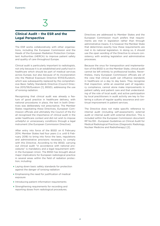## **Clinical Audit – the ESR and the Legal Perspective**

The ESR works collaboratively with other organisations, including the European Commission and the Heads of the European Radiation Protection Competent Authorities (HERCA) to improve patient safety and quality of care throughout Europe.

Clinical audit is particularly important to radiologists, not only because it is an established and useful tool in healthcare which should be part of medical services across Europe, but also because of its incorporation into the Medical Exposure Directive 97/43/Euratom, which was subsequently replaced by the comprehensive Basic Safety Standards Directive (Council Directive 2013/59/Euratom [1], BSSD), addressing the use of ionising radiation.

Recognising that clinical audit was already a feature of good practice in healthcare delivery, with national procedures in place, the text in both Directives was deliberately not prescriptive. The Member States negotiating these Directives, European Commission officials and ultimately the Council of the EU all recognised the importance of clinical audit in the wider healthcare context and did not wish to impose unhelpful or unnecessary conditions through a legal instrument (the European Commission Directive).

After entry into force of the BSSD on 6 February 2014, Member States had four years (i. e. until 6 February 2018) to bring into force the laws, regulations and administrative provisions necessary to comply with this Directive. According to the BSSD, carrying out clinical audit "in accordance with national procedures" is mandatory and a legal requirement within the European Union. The BSSD has brought about major implications for European radiological practice in several areas within the field of radiation protection, including:

- ★ Laying down basic safety standards for protection against the danger of ionising radiation
- $\star$  Emphasising the need for justification of medical exposure
- ★ Introducing patient information requirements
- ★ Strengthening requirements for recording and reporting doses from radiological procedures.

Directives are addressed to Member States and the European Commission much prefers that requirements are met in legislation rather than through administrative means. It is however the Member State that determines exactly how these requirements are met in its national legislation. In doing so, it should use the open wording of the Directive to ensure consistency with existing legislation and administrative processes.

Because the onus for transposition and implementation of the BSSD is on the Member State, clinical audit cannot be left entirely to professional bodies. Nevertheless, many European Commission officials are of the view that clinical audit can influence standards in healthcare on a day to day basis. They recognise that inspection, while an essential part of regulatory compliance, cannot alone make improvements in patient safety and patient care and that understanding of the role of local audit, and active participation by local practitioners in audit activity are key to fostering a culture of regular quality assurance and continual improvement in patient services.

The Directive does not make specific reference to internal audit (including self-assessment), external audit or internal audit with external direction. This is included within the European Commission document RP No.159 – European Guidelines on Clinical Audit for Medical Radiological Practices (Diagnostic Radiology, Nuclear Medicine and Radiotherapy) [2].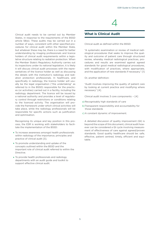Clinical audit needs to be carried out by Member States, in response to the requirements of the BSSD article 58(e). These audits may be carried out in a number of ways, consistent with other specified procedures for clinical audit within the Member State, but whatever these may be, there is a need for better understanding by imaging professionals and licence holders of clinical audit requirements within a legislative structure relating to radiation protection. When the Member State's Regulatory Authority carries out its inspections under its national legislation, it is likely it will discuss clinical audit processes with the representatives of the licence holder as well as discussing the details with the institution's radiology and radiation protection professionals. In healthcare, and specifically in radiology, the licence holder will usually be the legal organisation ("the undertaking" as referred to in the BSSD) responsible for the practices (or activities) carried out in a facility, including the radiology department. The licence will be issued by a national authority and provides a level of regulatory control through restrictions or conditions relating to the licenced activity. The organisation will provide the framework under which clinical activities will take place, while the radiology professionals will be responsible for specific actions such as justification and optimisation.

Recognising its unique and key position in this process, the ESR is working with stakeholders to facilitate the implementation of the BSSD:

- ★ To increase awareness amongst health professionals within radiology of the importance, principles and practice of clinical audit [3].
- ★ To promote understanding and uptake of the concepts outlined within the BSSD and the important role of clinical audit referred to within the Directive.
- ★ To provide health professionals and radiology departments with an audit guide and toolkit to support effective clinical audit.

## **What is Clinical Audit**

Clinical audit as defined within the BSSD:

"A systematic examination or review of medical radiological procedures that seeks to improve the quality and outcome of patient care through structured review, whereby medical radiological practices, procedures and results are examined against agreed standards for good medical radiological procedures, with modification of practices, where appropriate, and the application of new standards if necessary." [1]

4

Or, another definition:

"Audit involves improving the quality of patient care by looking at current practice and modifying where necessary" [4].

Clinical audit involves 3 core components: – [4]

- a) Recognisably high standards of care
- b)Transparent responsibility and accountability for those standards
- c) A constant dynamic of improvement.

A detailed discussion of quality improvement (QI) is beyond the scope of this document, clinical audit however can be considered a QI cycle involving measurement of effectiveness of care against agreed/proven standards. Good quality healthcare should be: safe, effective, patient centred, timely, efficient and equitable.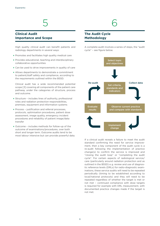## **Clinical Audit Importance and Scope**

High quality clinical audit can benefit patients and radiology departments in several ways:

- ★ Promotes and facilitates high quality medical care
- ★ Provides educational, teaching and interdisciplinary collaborative opportunities
- ★ Can be used to drive improvements in quality of care
- ★ Allows departments to demonstrate a commitment to patient/staff safety and compliance, according to the requirements outlined within the BSSD.

Clinical audit has a wide recommended potential scope [3] covering all components of the patient care pathway, under the categories of structure, process and outcome.

- ★ Structure includes lines of authority, professional roles and radiation protection responsibilities, premises, equipment and information systems
- ★ Process justification and referral processes, protocols, optimisation procedures, patient dose assessment, image quality, emergency incident procedures and reliability of patient image/data transfer
- ★ Outcome includes methods for follow-up of the outcome of examinations/procedures, over both short and longer term. Outcome audits tend to be most labour intensive but can provide powerful data.

## **The Audit Cycle Methodology**

A complete audit involves a series of steps, the "audit cycle" – see figure below.



If a clinical audit reveals a failure to meet the audit standard confirming the need for service improvement, then a key component of the audit cycle is a re-audit following the implementation of practice change(s) to confirm the service is improved and "closing the audit loop" or "completing the audit cycle". For certain aspects of radiological service/ care (particularly around radiation protection and as outlined in the BSSD) e. g. review and use of diagnostic reference levels (DRLs) for radio-diagnostic examinations, these service audits will need to be repeated periodically (timing to be established according to local/national protocols) and they will need to be repeated regardless of whether the target is met or not met – continued compliance with dose targets is required for example with DRL measurement, with documented practice changes made if the target is not met.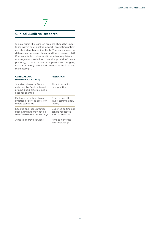## **Clinical Audit vs Research**

Clinical audit, like research projects, should be undertaken within an ethical framework, protecting patient and staff identity/confidentiality. There are some core differences between clinical audit and research [4]. Fundamentally, clinical audit, whether regulatory or non-regulatory (relating to service provision/clinical practice), is based around compliance with targets/ standards. In regulatory audit standards are fixed and mandatory [1].

7

| <b>CLINICAL AUDIT</b><br>(NON-REGULATORY)                                                                   | <b>RESEARCH</b>                                               |
|-------------------------------------------------------------------------------------------------------------|---------------------------------------------------------------|
| Standards based - Stand-<br>ards may be flexible, based<br>around good practice guide-<br>lines for example | Aims to establish<br>best practice                            |
| Evaluates whether clinical<br>practice or service provision<br>meets standards                              | Often a one-off<br>study, testing a new<br>theory             |
| Specific and local, practice<br>based, findings may not be<br>transferable to other settings                | Designed so findings<br>can be replicated<br>and transferable |
| Aims to improve services                                                                                    | Aims to generate<br>new knowledge                             |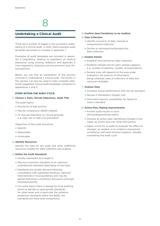

## **Undertaking a Clinical Audit**

There are a number of stages in the successful undertaking of a clinical audit. A draft, blank example audit template document is included in appendix 1.

Examples of audit templates are included in appendix 2 (regulatory, relating to regulation of medical exposures using ionising radiation) and appendix 3 (non-regulatory, relating to service provision and clinical practice).

Below you will find an explanation of the process involved in undertaking a clinical audit. The points in this section can also be used to help complete additional suggested clinical audit templates contained in appendices 2 and 3.

#### **STEPS WITHIN THE AUDIT CYCLE**

#### 1) **Choose a Topic, Decide Objectives, Audit Title**

The audit topics:

- ★ Should be of high priority
- ★ May be compulsory (BSSD related)
- ★ Or may be important on clinical grounds, e. g. high risk or high cost procedure

Objectives of the audit should be:

- ★ Specific
- ★ Measurable
- ★ Achievable

#### 2) **Identify Resources**

Identify the lead for the audit and other staff/time resources needed for data collection and analysis.

#### 3) **Define the Audit Standards**

- ★ Usually expressed as a target %
- ★ May be a minimum standard, or an optimum (aspirational) standard depending on the topic
- ★ Standards are usually derived following consultation with published literature, national/ international or local guidelines and may be agreed following a consensus discussion amongst interested parties
- ★ For some topics there is leeway for local auditing teams to decide on appropriate standards – for other areas and in particular the radiation protection standards within the BSSD, the standards are fixed (and compulsory)

#### 4) **Confirm Item/Variable(s) to be Audited**

#### 5) **Data Collection**

- ★ Identify source(s) of data, manual or computerised collection
- ★ Decide on retrospective/prospective data collection

#### 6) **Sample Details**

- $\star$  Establish time period for data collection
- ★ Establish sample size for each sample category, e. g. number of patients, number of examinations
- ★ Sample sizes will depend on the area under evaluation, the amount of information being collected, ease of collection of data and resources available

#### 7) **Analyse Data**

- ★ Compare actual performance with the set standard
- ★ Review if standard(s) (target) met
- ★ Document reasons, possibilities for failure to meet a standard

#### 8) **Action Plan, Making Improvements**

- ★ Present audit results to local clinical/departmental teams
- ★ Develop an action plan identifying changes to be made, by whom and over what time period
- ★ Agree a time for re-audit to evaluate the effect of changes, as needed, or to evidence maintained compliance with best practice target(s), thereby completing the audit cycle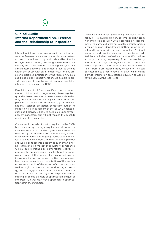## **Clinical Audit: Internal Departmental vs. External and the Relationship to Inspection**

Internal radiology departmental audit (including personal self-assessment) is recommended as a systematic and continuing activity; audits should be of topics of high clinical priority, involving multi-professional working and collaboration. Clinical, regulatory audit is a mandatory activity at departmental level as defined within the BSSD, with an intended focus on key areas of radiological practice involving radiation. Clinical audit in radiology departments should be able to provide evidence of compliance with national legislation intended to transpose the BSSD.

Regulatory audit will form a significant part of departmental clinical audit programmes, these regulatory audits have mandated absolute standards –when they are undertaken locally they can be used to complement the process of inspection (by the relevant national radiation protection competent authority). Inspection is a requirement of the BSSD. Evidence of such audit activity is likely to be looked upon favourably by inspectors, but will not replace the absolute requirement for inspection.

Clinical audit, outside of what is required by the BSSD, is not mandatory or a legal requirement, although the Directive assumes and indirectly requires it to be carried out by its reference to national arrangements. Evidence of active and ongoing participation in clinical audit is considered a marker of good practice and would be taken into account as such by an external regulator, as a marker of regulatory compliance. Clinical audits might also demonstrate (indirectly) appropriate optimisation or justification. For example, an audit of the impact of exposure settings on image quality and subsequent patient management has clear value relating to optimisation of the medical exposure. An audit of the impact of contrast concentration might be intended to consider organ toxicity, but as a by-product may also include comments on exposure factors and again be helpful in demonstrating a specific example of optimisation and just as importantly, a well-developed approach to optimisation within the institution.

There is a drive to set up national processes of external audit – a multidisciplinary external auditing team working in collaboration with local radiology departments to carry out external audits, possibly across a region or many departments. Setting up an external audit system will depend upon local/national resources and requirements and should be accredited by a suitable professional or scientific national body, occurring separately from the regulatory authority. This may have significant costs. An alternative approach is internal audit with external direction – from a professional body or society. This can be extended to a coordinated initiative which might provide information on a national situation as well as having value at the local level.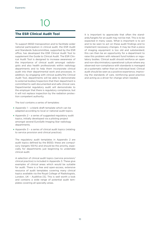## **The ESR Clinical Audit Tool**

To support BSSD transposition and to facilitate wider national participation in clinical audit, the ESR Audit and Standards Subcommittee, supported by the ESR office, has developed the ESR Clinical Audit Tool to supplement the Guide to Clinical Audit. The ESR Clinical Audit Tool is designed to increase awareness of the importance of clinical audit amongst radiologists and also health professionals within radiology departments and to help them incorporate clinical audit into their departmental work and processes. In addition, by engaging with clinical audits/the Clinical Audit Tool, departments will be able to demonstrate to external bodies/inspectors that their department is committed to well-documented and safe clinical care. Departmental regulatory audit will demonstrate to the employer that there is regulatory compliance, but it will not replace inspection by the radiation protection competent authority.

The tool contains a series of templates:

- ★ Appendix 1 a blank draft template which can be adapted according to local or national audit topics.
- ★ Appendix 2 a series of suggested regulatory audit topics, initially developed via a piloting project amongst several EuroSafe Imaging Star radiology departments.
- ★ Appendix 3 a series of clinical audit topics (relating to service provision and clinical practice).

The regulatory audit templates in Appendix 2 are audit topics defined by the BSSD; these are compulsory (targets 100 %) and should be the priority, especially for departments just beginning to undertake clinical audit.

A selection of clinical audit topics (service provision/ clinical practice) is included in Appendix 3. These give examples of clinical areas which would be suitable for audit. There is a free and open-access, extensive resource of audit templates covering many clinical topics available via the Royal College of Radiologists, London, UK – Auditlive [5]. This is well worth a look and contains a wide range of potential audit templates covering all specialty areas.

It is important to appreciate that often the standards/targets for an audit may not be met. This is to be expected in many cases. What is important is to act and to be seen to act on these audit findings and to implement necessary changes. It may be that a piece of imaging equipment is too old and substandard; this can then be an opportunity for a department to raise this problem with relevant fund holders or regulatory bodies. Clinical audit should reinforce an open and non-discriminatory operational culture where any observed non-compliance with standards is managed at a systematic rather than an individual level. Clinical audit should be seen as a positive experience, improving the standards of care, reinforcing good practice and acting as a driver for change when needed.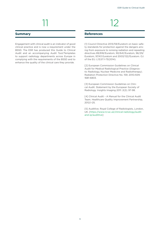#### **Summary**

Engagement with clinical audit is an indicator of good clinical practice and is now a requirement under the BSSD. The ESR has produced this Guide to Clinical Audit and an accompanying Audit Tool/Templates to support radiology departments across Europe in complying with the requirements of the BSSD and to enhance the quality of the clinical care they provide.

### **References**

[1] Council Directive 2013/59/Euratom on basic safety standards for protection against the dangers arising from exposure to ionising radiation and repealing directives 89/618/Euratom, 90/641/Euratom, 96/29/ Euratom, 97/43 Euratom and 2003/122/Euratom. OJ of the EU. L13;57:1-73(2014).

[2] European Commission Guidelines on Clinical Audit for Medical Radiological Practice (Diagnostic Radiology, Nuclear Medicine and Radiotherapy). Radiation Protection Directive No. 159; 2010.ISSN 1681-6803.

[3] European Commission Guidelines on Clinical Audit. Statement by the European Society of Radiology. Insights Imaging 2011: 2(2); 97-98.

[4] Clinical Audit - A Manual for the Clinical Audit Team. Healthcare Quality Improvement Partnership, 2012;1-25.

[5] Auditlive. Royal College of Radiologists, London, UK. [[https://www.rcr.ac.uk/clinical-radiology/audit](https://www.rcr.ac.uk/clinical-radiology/audit-and-qi/auditlive)[and-qi/auditlive](https://www.rcr.ac.uk/clinical-radiology/audit-and-qi/auditlive)]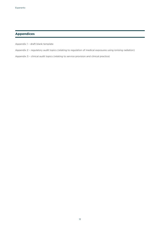## **Appendices**

Appendix 1 – draft blank template

- Appendix 2 regulatory audit topics (relating to regulation of medical exposures using ionising radiation)
- Appendix 3 clinical audit topics (relating to service provision and clinical practice)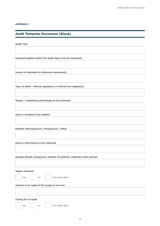#### **APPENDIX 1**

## **Audit Template Document (Blank)**

**Audit Title**

**Standard against which the audit topic is to be compared**

**Source of standard (or reference document)**

**Type of audit – clinical regulatory or clinical non-regulatory**

**Target / compliance percentage to be achieved**

**Item or variable to be audited**

**Method: Retrospective / Prospective / Other**

**Data or information to be collected**

**Sample details (categories, number of patients, collection time period)**

**Target achieved**

| yes<br>$\sim$ |  |
|---------------|--|
|---------------|--|

no **no** not applicable

#### **Actions to be taken if the target is not met.**

#### **Timing for re-audit**

yes | | no | | not applicable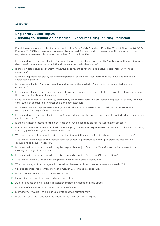#### **APPENDIX 2**

## **Regulatory Audit Topics (Relating to Regulation of Medical Exposures Using Ionising Radiation)**

For all the regulatory audit topics in this section the Basic Safety Standards Directive (Council Directive 2013/59/ Euratom [1], BSSD) is the quoted source of the standard. For each audit, however, specific reference to local regulatory requirements is required, as derived from the Directive.

- 1) Is there a departmental mechanism for providing patients (or their representative) with information relating to the risks/benefits associated with radiation dose from the medical exposure?
- 2) Is there an established mechanism within the department to register and analyse accidental /unintended exposures?
- 3) Is there a departmental policy for informing patients, or their representative, that they have undergone an accidental exposure?
- 4) Is there a mechanism for record keeping and retrospective analysis of accidental or unintended medical exposures?
- 5) Is there a mechanism for referring accidental exposure events to the medical physics expert (MPE) and informing the competent authority of significant events?
- 6) Does the department utilise criteria, provided by the relevant radiation protection competent authority, for what constitutes an accidental or unintended significant exposure?
- 7) Is there evidence for appropriate training for individuals with delegated responsibility (in the case of nonradiologists) for the justification process?
- 8) Is there a departmental mechanism to confirm and document the non-pregnancy status of individuals undergoing medical exposures?
- 9) Is there a written protocol for the identification of who is responsible for the justification process?
- 10) For radiation exposure related to health screening by invitation on asymptomatic individuals, is there a local policy affirming justification by a competent authority?
- 11) What percentage of examinations involving ionising radiation are justified in advance of being performed?
- 12) What mechanism exists on the request form for contacting referrers to permit pre-exposure justification discussions to occur if necessary?
- 13) Is there a written protocol for who may be responsible for justification of X-ray/fluoroscopic/ interventional ionising radiological procedures?
- 14) Is there a written protocol for who may be responsible for justification of CT examinations?
- 15) What mechanism is used to evaluate patient dose in high-dose procedures?
- 16) What percentage of radiodiagnostic procedures have established diagnostic reference levels (DRL)?
- 17) Specific technical requirements for equipment in use for medical exposures.
- 18) Eye lens dose limits for occupational exposure.
- 19) Initial education and training in radiation protection.
- 20) Audit of education plus training in radiation protection, doses and side effects.
- 21) Provision of clinical information to support justification.
- 22) Staff dosimetry audit this includes a draft adapted questionnaire.
- 23) Evaluation of the role and responsibilities of the medical physics expert.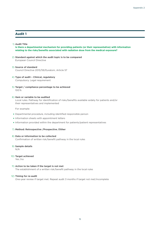#### 1) **Audit Title**

**Is there a departmental mechanism for providing patients (or their representative) with information relating to the risks/benefits associated with radiation dose from the medical exposure?**

- 2) **Standard against which the audit topic is to be compared** European Council Directive
- 3) **Source of standard** Council Directive 2013/59/Euratom, Article 57
- 4) **Type of audit Clinical, regulatory** Compulsory. Legal requirement
- 5) **Target / compliance percentage to be achieved** 100 %

#### 6) **Item or variable to be audited**

Local rules. Pathway for identification of risks/benefits available widely for patients and/or their representatives and implemented

For example:

- ★ Departmental procedure, including identified responsible person
- ★ Information sheets with appointment letters
- ★ Information provided within the department for patients/patient representatives

#### 7) **Method: Retrospective /Prospective /Other**

#### 8) **Data or information to be collected**

Confirmation of written risk/benefit pathway in the local rules

#### 9) **Sample details**

N/A

#### 10) **Target achieved**

Yes /no

#### 11) **Action to be taken if the target is not met**

The establishment of a written risk/benefit pathway in the local rules

#### 12) **Timing for re-audit**

One-year review if target met. Repeat audit 3 months if target not met/incomplete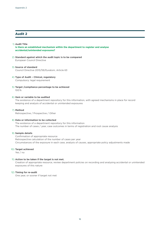#### 1) **Audit Title**

**Is there an established mechanism within the department to register and analyse accidental/unintended exposures?**

- 2) **Standard against which the audit topic is to be compared** European Council Directive
- 3) **Source of standard** Council Directive 2013/59/Euratom, Article 63
- 4) **Type of Audit Clinical, regulatory** Compulsory: legal requirement
- 5) **Target /compliance percentage to be achieved** 100 %

#### 6) **Item or variable to be audited**

The existence of a department repository for this information, with agreed mechanisms in place for record keeping and analysis of accidental or unintended exposures

#### 7) **Method**

Retrospective / Prospective / Other

#### 8) **Data or information to be collected**

The existence of a department repository for this information The number of cases / year, case outcomes in terms of registration and root cause analysis

#### 9) **Sample details**

Confirmation of appropriate resource Retrospective calculation of the number of cases per year Circumstances of the exposure in each case, analysis of causes, appropriate policy adjustments made

#### 10) **Target achieved**

Yes / no

#### 11) **Action to be taken if the target is not met.**

Creation of appropriate resource, review department policies on recording and analysing accidental or unintended exposures of this nature

#### 12) **Timing for re-audit**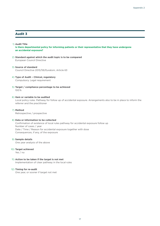#### 1) **Audit Title**

**Is there departmental policy for informing patients or their representative that they have undergone an accidental exposure?**

- 2) **Standard against which the audit topic is to be compared** European Council Directive
- 3) **Source of standard** Council Directive 2013/59/Euratom, Article 63
- 4) **Type of Audit Clinical, regulatory** Compulsory. Legal requirement
- 5) **Target / compliance percentage to be achieved**  100 %

#### 6) **Item or variable to be audited**

Local policy rules. Pathway for follow up of accidental exposure. Arrangements also to be in place to inform the referrer and the practitioner

#### 7) **Method**

Retrospective / prospective

#### 8) **Data or information to be collected**

Confirmation of existence of local rules pathway for accidental exposure follow up Number of cases / year Date / Time / Reason for accidental exposure together with dose Consequences, if any, of the exposure

#### 9) **Sample details**

One year analysis of the above

#### 10) **Target achieved**

Yes / no

#### 11) **Action to be taken if the target is not met** Implementation of clear pathway in the local rules

#### 12) **Timing for re-audit**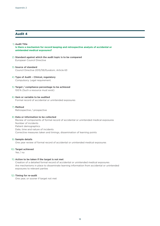#### 1) **Audit Title Is there a mechanism for record keeping and retrospective analysis of accidental or unintended medical exposures?**

- 2) **Standard against which the audit topic is to be compared** European Council Directive
- 3) **Source of standard** Council Directive 2013/59/Euratom, Article 63
- 4) **Type of Audit Clinical, regulatory** Compulsory. Legal requirement.
- 5) **Target / compliance percentage to be achieved** 100 % (Such a resource must exist)
- 6) **Item or variable to be audited** Formal record of accidental or unintended exposures

#### 7) **Method**

Retrospective / prospective

#### 8) **Data or information to be collected**

Review of components of formal record of accidental or unintended medical exposures Number of incidents Patient demographics Date, time and nature of incidents Corrective measures taken and timings, dissemination of learning points

#### 9) **Sample details**

One year review of formal record of accidental or unintended medical exposures

#### 10) **Target achieved**

Yes / no

#### 11) **Action to be taken if the target is not met**

Creation of a detailed formal record of accidental or unintended medical exposures Are mechanisms in place to disseminate learning information from accidental or unintended exposures to relevant parties

#### 12) **Timing for re-audit**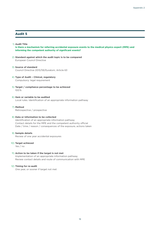#### 1) **Audit Title**

**Is there a mechanism for referring accidental exposure events to the medical physics expert (MPE) and informing the competent authority of significant events?**

- 2) **Standard against which the audit topic is to be compared** European Council Directive
- 3) **Source of standard** Council Directive 2013/59/Euratom, Article 63
- 4) **Type of Audit Clinical, regulatory** Compulsory: legal requirement
- 5) **Target / compliance percentage to be achieved** 100 %
- 6) **Item or variable to be audited** Local rules. Identification of an appropriate information pathway

#### 7) **Method**

Retrospective / prospective

#### 8) **Data or information to be collected**

Identification of an appropriate information pathway Contact details for the MPE and the competent authority official Date / time / reason / consequences of the exposure, actions taken

#### 9) **Sample details**

Review of one year accidental exposures

#### 10) **Target achieved**

Yes / no

#### 11) **Action to be taken if the target is not met**

Implementation of an appropriate information pathway Review contact details and route of communication with MPE

#### 12) **Timing for re-audit**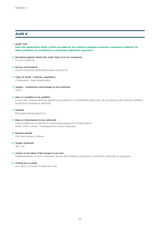#### 1) **Audit Title**

**Does the department utilise criteria provided by the relevant radiation protection competent authority for what constitutes an accidental or unintended significant exposure?**

- 2) **Standard against which the audit topic is to be compared** Council Directive
- 3) **Source of standard** Council Directive 2013/59/Euratom, Article 63
- 4) **Type of Audit Clinical, regulatory** Compulsory. Legal requirement
- 5) **Target / compliance percentage to be achieved** 100 %

#### 6) **Item or variable to be audited**

Local rules. Criteria defining significant accidental or unintended exposures, as provided by the relevant radiation protection competent authority

#### 7) **Method**

Retrospective/prospective

#### 8) **Data or information to be collected** Criteria defining accidental or unintended exposures of significance Date / time / cause / consequences of each exposure

9) **Sample details** One year review of above

#### 10) **Target achieved**

Yes / no

#### 11) **Action to be taken if the target is not met.**

Implementation of such a resource, liaison with radiation protection competent authority for guidance

#### 12) **Timing for re-audit**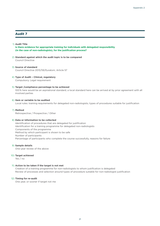#### 1) **Audit Title**

**Is there evidence for appropriate training for individuals with delegated responsibility (in the case of non-radiologists), for the justification process?**

- 2) **Standard against which the audit topic is to be compared** Council Directive
- 3) **Source of standard** Council Directive 2013/59/Euratom, Article 57
- 4) **Type of Audit Clinical, regulatory** Compulsory. Legal requirement

#### 5) **Target /compliance percentage to be achieved**

100 % here would be an aspirational standard, a local standard here can be arrived at by prior agreement with all involved parties

#### 6) **Item or variable to be audited**

Local rules: training requirements for delegated non-radiologists; types of procedures suitable for justification

#### 7) **Method**

Retrospective / Prospective / Other

#### 8) **Data or information to be collected**

Identification of procedures that are delegated for justification Identification for a training programme for delegated non-radiologists Components of the programme Method by which participant is shown to be safe Number of participants Percentage of participants who complete the course successfully, reasons for failure

#### 9) **Sample details**

One-year review of the above

#### 10) **Target achieved**

Yes / no

#### 11) **Action to be taken if the target is not met**

Creation of a training programme for non-radiologists to whom justification is delegated Review of processes and selection around types of procedure suitable for non-radiologist justification

#### 12) **Timing for re-audit**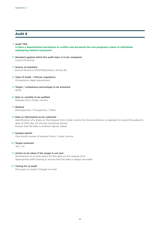#### 1) **Audit Title**

**Is there a departmental mechanism to confirm and document the non-pregnancy status of individuals undergoing medical exposures?**

- 2) **Standard against which the audit topic is to be compared** Council Directive
- 3) **Source of standard** Council Directive 2013/59/Euratom, Article 62
- 4) **Type of Audit Clinical, regulatory** Compulsory: legal requirement
- 5) **Target / compliance percentage to be achieved** 100 %
- 6) **Item or variable to be audited** Request form /Order comms

#### 7) **Method**

Retrospective / Prospective / Other

#### 8) **Data or information to be collected**

Identification of a place on the request form /order comms for the practitioner or operator to record the patient's date of (first day of) the last menstrual period. Ensure that the data is entered, signed, dated

#### 9) **Sample details**

One-month review of request forms / order comms

10) **Target achieved** 

Yes / no

#### 11) **Action to be taken if the target is not met**

Amendment to include place for this data on the request form Appropriate staff training to ensure that the data is always recorded

#### 12) **Timing for re-audit**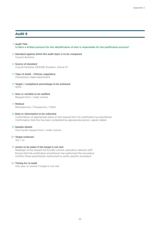#### 1) **Audit Title**

**Is there a written protocol for the identification of who is responsible for the justification process?**

2) **Standard against which the audit topic is to be compared** Council directive

#### 3) **Source of standard** Council Directive 2013/59/ Euratom, Article 57

#### 4) **Type of Audit – Clinical, regulatory** Compulsory: legal requirement

- 5) **Target / compliance percentage to be achieved** 100 %
- 6) **Item or variable to be audited** Request form / order comms

#### 7) **Method**

Retrospective / Prospective / Other

#### 8) **Data or information to be collected**

Confirmation of appropriate place on the request form for justification by practitioner Confirmation that this has been completed by appropriate person, signed, dated

#### 9) **Sample details**

One-month request form / order comms

#### 10) **Target achieved**

Yes / no

#### 11) **Action to be taken if the target is not met**

Redesign of the request form/order comms, education relevant staff Ensure that the justification practitioner has authorised the procedure Confirm those practitioners authorised to justify specific procedure

#### 12) **Timing for re-audit**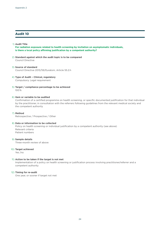#### 1) **Audit Title**

**For radiation exposure related to health screening by invitation on asymptomatic individuals, is there a local policy affirming justification by a competent authority?**

- 2) **Standard against which the audit topic is to be compared** Council Directive
- 3) **Source of standard** Council Directive 2013/59/Euratom, Article 55.2.h
- 4) **Type of Audit Clinical, regulatory** Compulsory. Legal requirement
- 5) **Target / compliance percentage to be achieved** 100 %

#### 6) **Item or variable to be audited**

Confirmation of a certified programme on health screening, or specific documented justification for that individual by the practitioner, in consultation with the referrers following guidelines from the relevant medical society and the competent authority

7) **Method** Retrospective / Prospective / Other

#### 8) **Data or information to be collected**

Policy on health screening or individual justification by a competent authority (see above) Relevant criteria Patient numbers

9) **Sample details**

Three-month review of above

#### 10) **Target achieved**

Yes /no

#### 11) **Action to be taken if the target is not met**

Implementation of a policy on health screening or justification process involving practitioner/referrer and a competent authority

#### 12) **Timing for re-audit**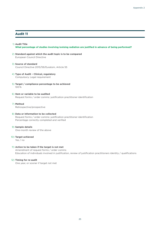#### 1) **Audit Title**

**What percentage of studies involving ionising radiation are justified in advance of being performed?**

2) **Standard against which the audit topic is to be compared** European Council Directive

#### 3) **Source of standard** Council Directive 2013/59/Euratom, Article 55

- 4) **Type of Audit Clinical, regulatory** Compulsory. Legal requirement
- 5) **Target / compliance percentage to be achieved** 100 %
- 6) **Item or variable to be audited** Request forms / order comms: justification practitioner identification
- 7) **Method**

Retrospective/prospective

#### 8) **Data or information to be collected**

Request forms / order comms: justification practitioner identification Percentage correctly completed and verified

#### 9) **Sample details**

One-month review of the above

#### 10) **Target achieved**

Yes / no

#### 11) **Action to be taken if the target is not met**

Amendment of request forms / order comms Education of individuals involved in justification, review of justification practitioners identity / qualifications

#### 12) **Timing for re-audit**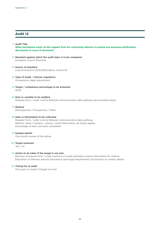#### 1) **Audit Title**

**What mechanism exists on the request form for contacting referrers to permit pre-exposure justification discussions to occur if necessary?**

- 2) **Standard against which the audit topic is to be compared** European Council Directive
- 3) **Source of standard** Council Directive 2013/59/Euratom, Article 55
- 4) **Type of Audit Clinical, regulatory** Compulsory: legal requirement
- 5) **Target / compliance percentage to be achieved** 100 %
- 6) **Item or variable to be audited** Request form / order comms Relevant communication data pathway documented clearly

#### 7) **Method**

Retrospective / Prospective / Other

#### 8) **Data or information to be collected**

Request form / order comms Relevant communication data pathway Referrer name / location / phone / email information, all clearly legible Percentage of each correctly completed

#### 9) **Sample details**

One-month review of the above

#### 10) **Target achieved**

Yes / no

#### 11) **Action to be taken if the target is not met.**

Revision of request form / order comms to include pertinent contact information for referrer Education of referrers around importance (and legal requirement) of provision of contact details

#### 12) **Timing for re-audit**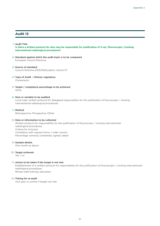#### 1) **Audit Title**

**Is there a written protocol for who may be responsible for justification of X-ray /fluoroscopic /ionising interventional radiological procedures?**

- 2) **Standard against which the audit topic is to be compared** European Council Directive
- 3) **Source of standard** Council Directive 2013/59/Euratom, Article 57
- 4) **Type of Audit Clinical, regulatory** Compulsory
- 5) **Target / compliance percentage to be achieved** 100 %

#### 6) **Item or variable to be audited**

Local rules: written protocol for delegated responsibility for the justification of fluoroscopic / ionising interventional radiological procedures

#### 7) **Method**

Retrospective /Prospective /Other

#### 8) **Data or information to be collected**

Written protocol for responsibility for the justification of fluoroscopic / ionising interventional radiological procedures Criteria for inclusion Correlation with request forms / order comms Percentage correctly completed, signed, dated

#### 9) **Sample details**

One month as above

#### 10) **Target achieved**

Yes / no

#### 11) **Action to be taken if the target is not met**

Establishment of a written protocol for responsibility for the justification of fluoroscopic / ionising interventional radiological procedures

Review staff training, education

#### 12) **Timing for re-audit**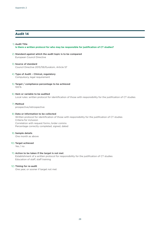#### 1) **Audit Title Is there a written protocol for who may be responsible for justification of CT studies?**

2) **Standard against which the audit topic is to be compared** European Council Directive

#### 3) **Source of standard** Council Directive 2013/59/Euratom, Article 57

- 4) **Type of Audit Clinical, regulatory** Compulsory, legal requirement
- 5) **Target / compliance percentage to be achieved** 100 %
- 6) **Item or variable to be audited** Local rules: written protocol for identification of those with responsibility for the justification of CT studies

#### 7) **Method**

prospective/retrospective

#### 8) **Data or information to be collected**

Written protocol for identification of those with responsibility for the justification of CT studies Criteria for inclusion Correlation with request forms /order comms Percentage correctly completed, signed, dated

#### 9) **Sample details**

One month as above

#### 10) **Target achieved**

Yes / no

#### 11) **Action to be taken if the target is not met**

Establishment of a written protocol for responsibility for the justification of CT studies Education of staff, staff training

#### 12) **Timing for re-audit**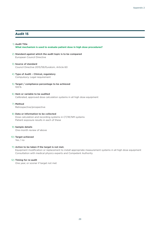#### 1) **Audit Title What mechanism is used to evaluate patient dose in high dose procedures?**

2) **Standard against which the audit topic is to be compared** European Council Directive

#### 3) **Source of standard** Council Directive 2013/59/Euratom, Article 60

- 4) **Type of Audit Clinical, regulatory** Compulsory. Legal requirement
- 5) **Target / compliance percentage to be achieved** 100 %
- 6) **Item or variable to be audited** Calibrated, approved dose calculation systems in all high dose equipment
- 7) **Method**

Retrospective/prospective

#### 8) **Data or information to be collected**

Dose calculation and recording systems in CT/IR/NM systems Patient exposure results in each of these

## 9) **Sample details**

One-month review of above

#### 10) **Target achieved**

Yes / no

#### 11) **Action to be taken if the target is not met.**

Equipment modification or replacement to install appropriate measurement systems in all high dose equipment Consultation with medical physics experts and Competent Authority

#### 12) **Timing for re-audit**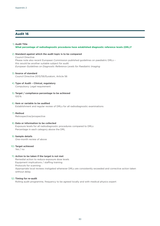#### 1) **Audit Title**

#### **What percentage of radiodiagnostic procedures have established diagnostic reference levels (DRL)?**

#### 2) **Standard against which the audit topic is to be compared**

Council Directive Please note also recent European Commission published guidelines on paediatric DRLs – this would be another suitable subject for audit *[European Guidelines on Diagnostic Reference Levels for Paediatric Imaging](http://www.eurosafeimaging.org/wp/wp-content/uploads/2018/09/rp_185.pdf)*

#### 3) **Source of standard**

Council Directive 2013/59/Euratom, Article 56

#### 4) **Type of Audit – Clinical, regulatory**

Compulsory. Legal requirement

5) **Target / compliance percentage to be achieved** 100 %

#### 6) **Item or variable to be audited**

Establishment and regular review of DRLs for all radiodiagnostic examinations

7) **Method** Retrospective/prospective

#### 8) **Data or information to be collected**

Exposure levels for all radiodiagnostic procedures compared to DRLs Percentage in each category above the DRL

#### 9) **Sample details**

One-month review of above

#### 10) **Target achieved**

Yes / no

#### 11) **Action to be taken if the target is not met**

Remedial action to reduce exposure dose levels Equipment implications / staffing training Protocols for scanning Appropriate local reviews instigated whenever DRLs are consistently exceeded and corrective action taken without delay

#### 12) **Timing for re-audit**

Rolling audit programme, frequency to be agreed locally and with medical physics expert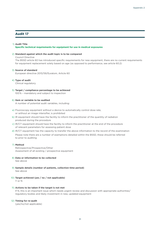#### 1) **Audit Title**

#### **Specific technical requirements for equipment for use in medical exposures**

#### 2) **Standard against which the audit topic is to be compared**

Council Directive

The BSSD article 60 has introduced specific requirements for new equipment, there are no current requirements for equipment replacement solely based on age (as opposed to performance, see article 60.2)

#### 3) **Source of standard**

European directive 2013/59/Euratom, Article 60

#### 4) **Type of audit**

Clinical regulatory

#### 5) **Target / compliance percentage to be achieved**

100 % – mandatory and subject to inspection

#### 6) **Item or variable to be audited**

A number of potential audit variables, including:

- a) Fluoroscopy equipment without a device to automatically control dose rate, or without an image intensifier, is prohibited
- b) IR equipment should have the facility to inform the practitioner of the quantity of radiation produced during the procedure
- c) IR/CT equipment should have the facility to inform the practitioner at the end of the procedure of relevant parameters for assessing patient dose

d) IR/CT equipment has the capacity to transfer the above information to the record of the examination Please note there are a number of exemptions detailed within the BSSD, these should be referred to prior to auditing

#### 7) **Method**

Retrospective/Prospective/Other Assessment of all existing / prospective equipment

#### 8) **Data or information to be collected**

See above

- 9) **Sample details (number of patients, collection time period)** See above
- 10) **Target achieved (yes / no / not applicable)** Y or N

#### 11) **Actions to be taken if the target is not met**

If N, this is an important issue which needs urgent review and discussion with appropriate authorities/ regulatory bodies and likely investment in new, updated equipment

#### 12) **Timing for re-audit**

(yes/no/not applicable)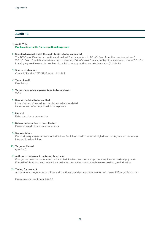#### 1) **Audit Title**

**Eye lens dose limits for occupational exposure**

#### 2) **Standard against which the audit topic is to be compared**

The BSSD modifies the occupational dose limit for the eye lens to 20 mSv/year from the previous value of 150 mSv/year. Special circumstances exist, allowing 100 mSv over 5 years, subject to a maximum dose of 50 mSv in a single year. Please note new lens dose limits for apprentices and students also (Article 11)

#### 3) **Source of standard**

Council Directive 2013/59/Euratom Article 9

#### 4) **Type of audit**

Regulatory

5) **Target / compliance percentage to be achieved** 100 %

#### 6) **Item or variable to be audited**

Local protocols/procedures, implemented and updated Measurement of occupational dose exposure

7) **Method** Retrospective or prospective

## 8) **Data or information to be collected**

Personal eye dosimetry measurements

#### 9) **Sample details**

Eye dosimetry measurements for individuals/radiologists with potential high dose ionising lens exposure e. g. interventional radiology

#### 10) **Target achieved**

(yes / no)

#### 11) **Actions to be taken if the target is not met**

If target not met the cause must be identified. Review protocols and procedures, involve medical physicist. Education/discussion and review local radiation protective practice with relevant radiologist/individual

#### 12) **Timing for re-audit**

A continuous programme of rolling audit, with early and prompt intervention and re-audit if target is not met

Please see also audit template 22.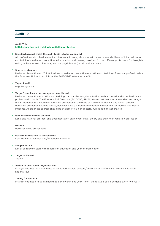#### 1) **Audit Title**

**Initial education and training in radiation protection** 

#### 2) **Standard against which the audit topic is to be compared**

All professionals involved in medical diagnostic imaging should meet the recommended level of initial education and training in radiation protection. All education and training provided for the different professions (radiologists, radiographers, nurses, clinicians, medical physicists etc) shall be documented

#### 3) **Source of standard**

[Radiation Protection no. 175, Guidelines on radiation protection education and training of medical professionals in](http://www.eurosafeimaging.org/wp/wp-content/uploads/2015/05/175.pdf)  [the European Union.](http://www.eurosafeimaging.org/wp/wp-content/uploads/2015/05/175.pdf) Council Directive 2013/59/Euratom, Article 18

#### 4) **Type of audit**

Regulatory audit

#### 5) **Target/compliance percentage to be achieved**

Radiation protection education and training starts at the entry level to the medical, dental and other healthcare professional schools. The Euratom BSS Directive [EC, 2000, RP 116] states that 'Member States shall encourage the introduction of a course on radiation protection in the basic curriculum of medical and dental schools'. Radiation protection courses should, however, have a different orientation and content for medical and dental students. Appropriate courses should be available to junior doctors, nurses, radiographers, etc.

#### 6) **Item or variable to be audited**

Local and national protocol and documentation on relevant initial theory and training in radiation protection

#### 7) **Method**

Retrospective /prospective

#### 8) **Data or information to be collected**

Data from staff records and/or national curricula

#### 9) **Sample details**

List of all relevant staff with records on education and year of examination

#### 10) **Target achieved**

Yes/No

#### 11) **Action to be taken if target not met**

If target not met the cause must be identified. Review content/provision of staff relevant curricula at local/ national level

#### 12) **Timing for re-audit**

If target not met a re-audit should be done within one year. If met, the re-audit could be done every two years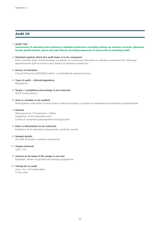#### 1) **Audit Title**

#### **Assessment of education plus training in radiation protection (including setting up national curricula, diplomas, formal qualifications), doses and side effects (including awareness of doses/risk by justifying staff)**

#### 2) **Standard against which the audit topic is to be compared.**

Each member state should arrange a program of continuous education in radiation protection for radiology departmental staff involved in any aspect of radiation protection.

#### 3) **Source of standard**

Council Directive 2013/59/Euratom. Local/national agreed process.

## 4) **Type of audit – clinical/regulatory**

Regulatory

5) **Target / compliance percentage to be achieved** 100 % (compulsory)

#### 6) **Item or variable to be audited** Participation, education in local and/or national program, program of assessment/compliance as appropriate

#### 7) **Method**

Retrospective / Prospective / Other Inspection of the education tool Levels of compliance/assessment amongst staff

#### 8) **Data or information to be collected**

Existence of an education programme, contents, review

#### 9) **Sample details**

All staff involved in radiation protection

#### 10) **Target achieved**

(yes / no)

#### 11) **Actions to be taken if the target is not met** Establish, review local/national training programme

#### 12) **Timing for re-audit**

(yes / no / not applicable) In one year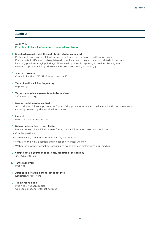#### 1) **Audit Title**

**Provision of clinical information to support justification**

#### 2) **Standard against which the audit topic is to be compared**

Each imaging request involving ionising radiation should undergo a justification process. For accurate justification radiologists/radiographers need to know the exam related clinical data including previous imaging findings. These are important in reporting as well as planning the most appropriate radiological examination and protocolling accordingly

#### 3) **Source of standard**

Council Directive 2013/59/Euratom, Article 55

4) **Type of audit – clinical/regulatory**

Regulatory

5) **Target / compliance percentage to be achieved** 100 % (compulsory)

#### 6) **Item or variable to be audited**

All ionising radiological procedures (non-ionising procedures can also be included, although these are not currently covered by the justification process)

7) **Method**

Retrospective or prospective

#### 8) **Data or information to be collected**

Review consecutive clinical request forms, clinical information provided should be:

- ★ Concise, pertinent
- ★ With relevant, coherent information in logical structure
- ★ With a clear clinical question and indication of clinical urgency
- ★ Without irrelevant information, including relevant previous history (imaging, medical)
- 9) **Sample details (number of patients, collection time period)**

100 request forms

10) **Target achieved**

(yes / no)

11) **Actions to be taken if the target is not met** Education for referrers

#### 12) **Timing for re-audit**

(yes / no / not applicable) One year, or sooner if target not met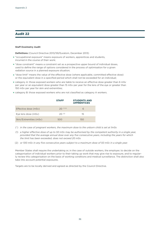#### **Staff Dosimetry Audit**

**Definitions** (Council Directive 2013/59/Euratom, December 2013)

- ★ "occupational exposure" means exposure of workers, apprentices and students, incurred in the course of their work;
- ★ "dose constraint" means a constraint set as a prospective upper bound of individual doses, used to define the range of options considered in the process of optimisation for a given radiation source in a planned exposure situation;
- ★ "dose limit" means the value of the effective dose (where applicable, committed effective dose) or the equivalent dose in a specified period which shall not be exceeded for an individual;
- ★ category A: those exposed workers who are liable to receive an effective dose greater than 6 mSv per year or an equivalent dose greater than 15 mSv per year for the lens of the eye or greater than 150 mSv per year for skin and extremities;
- ★ category B: those exposed workers who are not classified as category A workers.

|                        | <b>STAFF</b>  | <b>STUDENTS AND</b><br><b>APPRENTICES</b> |
|------------------------|---------------|-------------------------------------------|
| Effective dose (mSv)   | $20^{(*)(1)}$ | 6                                         |
| Eye lens dose (mSv)    | $20^{(2)}$    | 15                                        |
| Skin/Extremities (mSv) | 500           | 150                                       |

- (\*) *in the case of pregnant workers, the maximum dose to the unborn child is set at 1mSv.*
- (1) *a higher effective dose of up to 50 mSv may be authorised by the competent authority in a single year, provided that the average annual dose over any five consecutive years, including the years for which the limit has been exceeded, does not exceed 20 mSv.*
- (2) *or 100 mSv in any five consecutive years subject to a maximum dose of 50 mSv in a single year.*

Member States shall require the undertaking or, in the case of outside workers, the employer, to decide on the categorisation of individual workers prior to their taking up work that may give rise to exposure, and to regularly review this categorisation on the basis of working conditions and medical surveillance. The distinction shall also take into account potential exposures.

Targets are to be locally derived and agreed as directed by the Council Directive.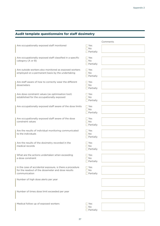## **Audit template questionnaire for staff dosimetry**

|                                                                                                                                |                                             | Comments |
|--------------------------------------------------------------------------------------------------------------------------------|---------------------------------------------|----------|
| Are occupationally exposed staff monitored                                                                                     | $\Box$ Yes<br>$\Box$ No<br>$\Box$ Partially |          |
| Are occupationally exposed staff classified in a specific<br>category (A or B)                                                 | $\Box$ Yes<br>$\Box$ No<br>$\Box$ Partially |          |
| Are outside workers also monitored as exposed workers<br>employed on a permanent basis by the undertaking                      | $\Box$ Yes<br>$\Box$ No<br>$\Box$ Partially |          |
| Are staff aware of how to correctly wear the different<br>dosemeters                                                           | $\Box$ Yes<br>$\Box$ No<br>$\Box$ Partially |          |
| Are dose constraint values (as optimisation tool)<br>established for the occupationally exposed                                | $\Box$ Yes<br>$\Box$ No<br>$\Box$ Partially |          |
| Are occupationally exposed staff aware of the dose limits                                                                      | $\Box$ Yes<br>$\Box$ No<br>$\Box$ Partially |          |
| Are occupationally exposed staff aware of the dose<br>constraint values                                                        | $\Box$ Yes<br>$\Box$ No<br>$\Box$ Partially |          |
| Are the results of individual monitoring communicated<br>to the individuals                                                    | $\Box$ Yes<br>$\Box$ No<br>$\Box$ Partially |          |
| Are the results of the dosimetry recorded in the<br>medical records                                                            | $\Box$ Yes<br>$\Box$ No<br>$\Box$ Partially |          |
| What are the actions undertaken when exceeding<br>a dose constraint                                                            | $\Box$ Yes<br>$\Box$ No<br>$\Box$ Partially |          |
| In the case of accidental exposure, is there a procedure<br>for the readout of the dosemeter and dose results<br>communication | $\Box$ Yes<br>$\Box$ No<br>$\Box$ Partially |          |
| Number of high dose alerts per year                                                                                            |                                             |          |
| Number of times dose limit exceeded per year                                                                                   |                                             |          |
| Medical follow up of exposed workers                                                                                           | $\Box$ Yes<br>$\Box$ No<br>Partially        |          |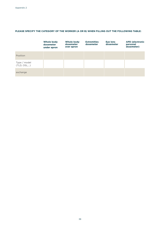### **PLEASE SPECIFY THE CATEGORY OF THE WORKER (A OR B) WHEN FILLING OUT THE FOLLOWING TABLE:**

|                             | Whole body<br>dosemeter<br>under apron | Whole body<br>dosemeter<br>over apron | <b>Extremities</b><br>dosemeter | <b>Eye lens</b><br>dosemeter | <b>APD (electronic</b><br>personal<br>dosemeter) |
|-----------------------------|----------------------------------------|---------------------------------------|---------------------------------|------------------------------|--------------------------------------------------|
| Position                    |                                        |                                       |                                 |                              |                                                  |
| Type / model<br>(TLD, OSL,) |                                        |                                       |                                 |                              |                                                  |
| exchange                    |                                        |                                       |                                 |                              |                                                  |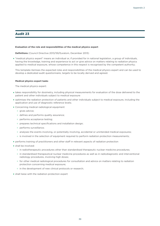#### **Evaluation of the role and responsibilities of the medical physics expert**

**Definitions** (Council Directive 2013/59/Euratom, December 2013)

★ "medical physics expert" means an individual or, if provided for in national legislation, a group of individuals, having the knowledge, training and experience to act or give advice on matters relating to radiation physics applied to medical exposure, whose competence in this respect is recognised by the competent authority;

This template itemises the expected roles and responsibilities of the medical physics expert and can be used to develop a dedicated audit questionnaire, targets to be locally derived and agreed.

#### **Medical physics expert tasks**

The medical physics expert:

- ★ takes responsibility for dosimetry, including physical measurements for evaluation of the dose delivered to the patient and other individuals subject to medical exposure
- ★ optimises the radiation protection of patients and other individuals subject to medical exposure, including the application and use of diagnostic reference levels;
- ★ Concerning medical radiological equipment
	- ✩ gives advice;
	- ✩ defines and performs quality assurance;
	- ✩ performs acceptance testing;
	- $\ast$  prepares technical specifications and installation design;
	- ✩ performs surveillance;
	- $\dot{\phi}$  analyses the events involving, or potentially involving, accidental or unintended medical exposures;
	- $\dot{\phi}$  is involved in the selection of equipment required to perform radiation protection measurements;
- ★ performs training of practitioners and other staff in relevant aspects of radiation protection
- ★ shall be involved:
	- $\star$  in radiotherapeutic procedures other than standardised therapeutic nuclear medicine procedures;
	- ✩ in standardised therapeutical nuclear medicine procedures as well as in radiodiagnostic and interventional radiology procedures, involving high doses;
	- $\star$  for other medical radiological procedures for consultation and advice on matters relating to radiation protection concerning medical exposure;
	- $\star$  in the development of new clinical protocols or research;
- ★ shall liaise with the radiation protection expert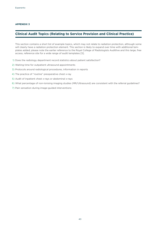#### **APPENDIX 3**

## **Clinical Audit Topics (Relating to Service Provision and Clinical Practice)**

This section contains a short list of example topics, which may not relate to radiation protection, although some will clearly have a radiation protection element. This section is likely to expand over time with additional templates added, please note the earlier reference to the Royal College of Radiologists Auditlive and this large, free access, reference site for a wide range of audit templates [5].

- 1) Does the radiology department record statistics about patient satisfaction?
- 2) Waiting time for outpatient ultrasound appointments
- 3) Protocols around radiological procedures, information in reports
- 4) The practice of "routine" preoperative chest x-ray
- 5) Audit of inpatient chest x-rays or abdominal x-rays
- 6) What percentage of non-Ionising imaging studies (MR/Ultrasound) are consistent with the referral guidelines?
- 7) Pain sensation during image-guided interventions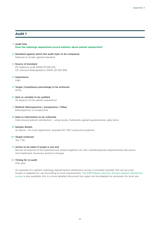#### 1) **Audit title**

#### **Does the radiology department record statistics about patient satisfaction?**

2) **Standard against which the audit topic to be compared** National or locally agreed standard

#### 3) **Source of standard**

PO Alderson AJR 2000;175:319-323 CD Johnson Radiographics 2009 ;29 :951-959

#### 4) **Importance**

High

- 5) **Target /compliance percentage to be achieved** 100 %
- 6) **Item or variable to be audited** All aspects of the patient experience
- 7) **Method: Retrospective / prospective / Other** Retrospective or prospective
- 8) **Data or information to be collected** Data around patient satisfaction – using locally /nationally agreed questionnaire, data items

#### 9) **Sample details**

As above - for local agreement, example 50-100 consecutive patients

#### 10) **Target achieved**

Yes / No

#### 11) **Action to be taken if target is not met**

Review all aspects of the questionnaire where target(s) not met, multidisciplinary departmental discussion and implement necessary practice changes

#### 12) **Timing for re-audit**

One year

An example of a patient radiology departmental satisfaction survey is included overleaf, this can be used locally or adapted for use according to local requirements. The [ESR Patient Advisory Group's patient satisfaction](https://www.myesr.org/media/3780)  [survey](https://www.myesr.org/media/3780) is also available, this is a more detailed document but again can be adapted as necessary for local use.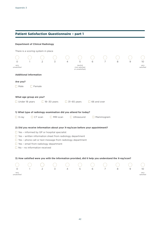## **Patient Satisfaction Questionnaire – part 1**

|                         |                               | <b>Department of Clinical Radiology</b>                                                                                |                    |                    |                                                                                                     |                    |                  |   |   |                   |
|-------------------------|-------------------------------|------------------------------------------------------------------------------------------------------------------------|--------------------|--------------------|-----------------------------------------------------------------------------------------------------|--------------------|------------------|---|---|-------------------|
|                         |                               | There is a scoring system in place                                                                                     |                    |                    |                                                                                                     |                    |                  |   |   |                   |
|                         |                               |                                                                                                                        |                    |                    |                                                                                                     |                    |                  |   |   |                   |
| $\circ$                 |                               | 2                                                                                                                      | 3                  |                    | 5                                                                                                   |                    |                  |   | 9 | 10                |
| very<br>unsatisfied     |                               |                                                                                                                        |                    |                    | neutral<br>(not satisfied<br>or unsatisfied)                                                        |                    |                  |   |   | very<br>satisfied |
|                         | <b>Additional information</b> |                                                                                                                        |                    |                    |                                                                                                     |                    |                  |   |   |                   |
|                         |                               |                                                                                                                        |                    |                    |                                                                                                     |                    |                  |   |   |                   |
| Are you?<br>$\Box$ Male | $\Box$ Female                 |                                                                                                                        |                    |                    |                                                                                                     |                    |                  |   |   |                   |
|                         |                               |                                                                                                                        |                    |                    |                                                                                                     |                    |                  |   |   |                   |
|                         | What age group are you?       |                                                                                                                        |                    |                    |                                                                                                     |                    |                  |   |   |                   |
|                         | $\Box$ Under 18 years         |                                                                                                                        | $\Box$ 18-30 years | $\Box$ 31-65 years |                                                                                                     | $\Box$ 66 and over |                  |   |   |                   |
|                         |                               |                                                                                                                        |                    |                    |                                                                                                     |                    |                  |   |   |                   |
|                         |                               |                                                                                                                        |                    |                    | 1) What type of radiology examination did you attend for today?                                     |                    |                  |   |   |                   |
| $\Box$ X-ray            |                               | $\Box$ CT scan                                                                                                         | $\Box$ MRI scan    |                    | $\Box$ Ultrasound                                                                                   |                    | $\Box$ Mammogram |   |   |                   |
|                         |                               |                                                                                                                        |                    |                    |                                                                                                     |                    |                  |   |   |                   |
|                         |                               |                                                                                                                        |                    |                    | 2) Did you receive information about your X-ray/scan before your appointment?                       |                    |                  |   |   |                   |
|                         |                               | $\Box$ Yes - informed by GP or hospital specialist<br>$\Box$ Yes - written information sheet from radiology department |                    |                    |                                                                                                     |                    |                  |   |   |                   |
|                         |                               |                                                                                                                        |                    |                    | $\Box$ Yes - phone call or text message from radiology department                                   |                    |                  |   |   |                   |
|                         |                               | $\Box$ Yes - email from radiology department                                                                           |                    |                    |                                                                                                     |                    |                  |   |   |                   |
|                         |                               | $\Box$ No - no information received                                                                                    |                    |                    |                                                                                                     |                    |                  |   |   |                   |
|                         |                               |                                                                                                                        |                    |                    |                                                                                                     |                    |                  |   |   |                   |
|                         |                               |                                                                                                                        |                    |                    | 3) How satisfied were you with the information provided, did it help you understand the X-ray/scan? |                    |                  |   |   |                   |
|                         |                               |                                                                                                                        |                    |                    |                                                                                                     |                    |                  |   |   |                   |
| $\circ$<br>very         |                               | $\mathcal{P}$                                                                                                          | 3                  |                    | 5                                                                                                   | 6                  | 7                | 8 | 9 | 10<br>very        |
| unsatisfied             |                               |                                                                                                                        |                    |                    |                                                                                                     |                    |                  |   |   | satisfied         |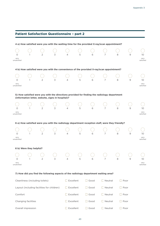|                                            |                         |                                 | <b>Patient Satisfaction Questionnaire - part 2</b> |                  |                |                |                                                                                                |             |             |                         |
|--------------------------------------------|-------------------------|---------------------------------|----------------------------------------------------|------------------|----------------|----------------|------------------------------------------------------------------------------------------------|-------------|-------------|-------------------------|
|                                            |                         |                                 |                                                    |                  |                |                | 4 a) How satisfied were you with the waiting time for the provided X-ray/scan appointment?     |             |             |                         |
| O<br>very<br>unsatisfied                   |                         |                                 | 3                                                  |                  | 5              | 6              | 7                                                                                              | 8           | 9           | 10<br>very<br>satisfied |
|                                            |                         |                                 |                                                    |                  |                |                | 4 b) How satisfied were you with the convenience of the provided X-ray/scan appointment?       |             |             |                         |
| O<br>very<br>unsatisfied                   |                         | 2                               | 3                                                  |                  | 5              |                |                                                                                                | 8           | 9           | 10<br>very<br>satisfied |
|                                            |                         |                                 | (information letter, website, signs in hospital)?  |                  |                |                | 5) How satisfied were you with the directions provided for finding the radiology department    |             |             |                         |
| O<br>very<br>unsatisfied                   |                         | 2                               | 3                                                  | 4                | 5              | 6              | 7                                                                                              | 8           | 9           | 10<br>very<br>satisfied |
|                                            |                         |                                 |                                                    |                  |                |                | 6 a) How satisfied were you with the radiology department reception staff, were they friendly? |             |             |                         |
| O<br>very<br>unsatisfied                   |                         | 2                               | 3                                                  | 4                | 5              | 6              | 7                                                                                              | 8           | 9           | 10<br>very<br>satisfied |
|                                            | 6 b) Were they helpful? |                                 |                                                    |                  |                |                |                                                                                                |             |             |                         |
| very<br>unsatisfied                        |                         |                                 |                                                    |                  | 5              |                | 7                                                                                              | 8           | 9           | 10<br>very<br>satisfied |
|                                            |                         |                                 |                                                    |                  |                |                | 7) How did you find the following aspects of the radiology department waiting area?            |             |             |                         |
|                                            |                         | Cleanliness (including toilets) |                                                    | $\Box$ Excellent |                | $\Box$ Good    | $\Box$ Neutral                                                                                 |             | $\Box$ Poor |                         |
| Layout (including facilities for children) |                         | $\Box$ Excellent                |                                                    | $\Box$ Good      | $\Box$ Neutral |                | $\Box$ Poor                                                                                    |             |             |                         |
| Comfort                                    |                         |                                 |                                                    | Excellent        |                | $\Box$ Good    | $\Box$ Neutral                                                                                 |             | ⊥ Poor      |                         |
| Changing facilities                        |                         |                                 | Excellent                                          |                  | $\Box$ Good    | $\Box$ Neutral |                                                                                                | $\Box$ Poor |             |                         |
|                                            | Overall impression      |                                 |                                                    | Excellent        |                | Good<br>$\Box$ | $\Box$ Neutral                                                                                 |             | Poor        |                         |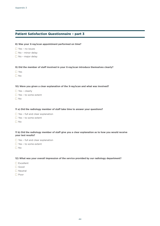## **Patient Satisfaction Questionnaire – part 3**

### **8) Was your X-ray/scan appointment performed on time?**

- Yes no issues
- $\Box$  No minor delay
- No major delay

#### **9) Did the member of staff involved in your X-ray/scan introduce themselves clearly?**

- Yes
- $\Box$  No

#### **10) Were you given a clear explanation of the X-ray/scan and what was involved?**

- $\Box$  Yes clearly
- $\Box$  Yes to some extent
- $\Box$  No

#### **11 a) Did the radiology member of staff take time to answer your questions?**

- Yes full and clear explanation
- □ Yes to some extent
- $\n **No**\n$

#### **11 b) Did the radiology member of staff give you a clear explanation as to how you would receive your test results?**

- $\Box$  Yes full and clear explanation
- $\Box$  Yes to some extent
- $\Box$  No

#### **12) What was your overall impression of the service provided by our radiology department?**

- $\square$  Excellent
- Good
- □ Neutral
- □ Poor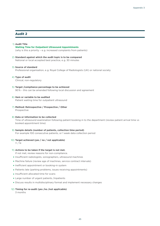#### 1) **Audit Title**

**Waiting Time for Outpatient Ultrasound Appointments** (why is this a priority – e. g. increased complaints from patients)

2) **Standard against which the audit topic is to be compared** National or local accepted best practice, e. g. 30 minutes

#### 3) **Source of standard**

Professional organisation, e. g. Royal College of Radiologists (UK) or national society

#### 4) **Type of audit**

Clinical, non-regulatory

#### 5) **Target /compliance percentage to be achieved**

90 % – this can be amended following local discussion and agreement

#### 6) **Item or variable to be audited** Patient waiting time for outpatient ultrasound

7) **Method: Retrospective / Prospective / Other** Prospective

#### 8) **Data or information to be collected** Time of ultrasound examination following patient booking in to the department (review patient arrival time vs booked appointment time)

## 9) **Sample details (number of patients, collection time period)**

For example 100 consecutive patients, or 1 week data collection period

#### 10) **Target achieved (yes / no / not applicable)** Y / N

#### 11) **Actions to be taken if the target is not met.**

If not met, review reasons for non-compliance.

- ★ Insufficient radiologists, sonographers, ultrasound machines
- ★ Machine failure (review age of machines, service contract intervals)
- ★ Inefficient appointment or booking-in system
- ★ Patients late (parking problems, issues receiving appointments)
- ★ Insufficient allocated time for scans
- ★ Large number of urgent patients /inpatients
- ★ Discuss results in multidisciplinary format and implement necessary changes

#### 12) **Timing for re-audit (yes /no /not applicable)**

3 months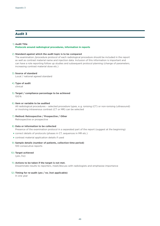#### 1) **Audit Title**

#### **Protocols around radiological procedures, information in reports**

#### 2) **Standard against which the audit topic is to be compared**

The examination /procedure protocol of each radiological procedure should be included in the report as well as contrast material name and injection data. Inclusion of this information is important and can have a role reporting follow up studies and subsequent protocol planning (change of parameters, increasing contrast material dose etc.)

#### 3) **Source of standard**

Local / national agreed standard

#### 4) **Type of audit**

clinical

5) **Target / compliance percentage to be achieved** 100 %

#### 6) **Item or variable to be audited**

All radiological procedures – selected procedure types, e. g. ionising (CT) or non-ionising (ultrasound) or involving intravenous contrast (CT or MR) can be selected

### 7) **Method: Retrospective / Prospective / Other**

Retrospective or prospective

#### 8) **Data or information to be collected**

Presence of the examination protocol in a separated part of the report (suggest at the beginning)

- ★ correct details of protocols (phases in CT, sequences in MR etc.)
- ★ contrast material application details if used
- 9) **Sample details (number of patients, collection time period)** 100 consecutive reports

#### 10) **Target achieved**

(yes /no)

#### 11) **Actions to be taken if the target is not met.**

Disseminate results to reporters, meet/discuss with radiologists and emphasise importance

#### 12) **Timing for re-audit (yes / no /not applicable)**

In one year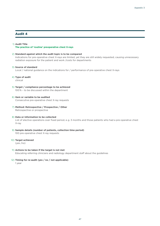#### 1) **Audit Title**

**The practice of 'routine' preoperative chest X-rays**

#### 2) **Standard against which the audit topic is to be compared**

Indications for pre-operative chest X-rays are limited, yet they are still widely requested, causing unnecessary radiation exposure for the patient and work /costs for departments

#### 3) **Source of standard**

Local / national guidance on the indications for / performance of pre-operative chest X-rays

#### 4) **Type of audit**

clinical

- 5) **Target / compliance percentage to be achieved** 100 % – to be discussed within the department
- 6) **Item or variable to be audited** Consecutive pre-operative chest X-ray requests
- 7) **Method: Retrospective / Prospective / Other** Retrospective or prospective
- 8) **Data or information to be collected** List of elective operations over fixed period, e.g. 3 months and those patients who had a pre-operative chest X-ray
- 9) **Sample details (number of patients, collection time period)** 100 pre-operative chest X-ray requests
- 10) **Target achieved**

(yes /no)

- 11) **Actions to be taken if the target is not met** Educating referring clinicians and radiology department staff about the guidelines
- 12) **Timing for re-audit (yes / no / not applicable)**

1 year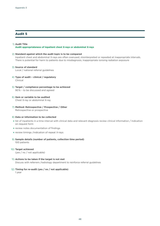#### 1) **Audit Title**

#### **Audit appropriateness of inpatient chest X-rays or abdominal X-rays**

#### 2) **Standard against which the audit topic is to be compared**

Inpatient chest and abdominal X-rays are often overused, misinterpreted or repeated at inappropriate intervals. There is potential for harm to patients due to misdiagnosis, inappropriate ionising radiation exposure

#### 3) **Source of standard**

Local / national referral guidelines

- 4) **Type of audit clinical / regulatory** Clinical
- 5) **Target / compliance percentage to be achieved** 90 % – to be discussed and agreed
- 6) **Item or variable to be audited** Chest X-ray or abdominal X-ray
- 7) **Method: Retrospective / Prospective / Other** Retrospective or prospective

#### 8) **Data or information to be collected**

- ★ list of inpatients in a time interval with clinical data and relevant diagnosis review clinical information / indication on request form
- ★ review notes documentation of findings
- ★ review timings /indication of repeat X-rays
- 9) **Sample details (number of patients, collection time period)** 100 patients

#### 10) **Target achieved**

(yes / no / not applicable)

#### 11) **Actions to be taken if the target is not met**

Discuss with referrers /radiology department to reinforce referral guidelines

#### 12) **Timing for re-audit (yes / no / not applicable)**

1 year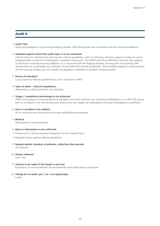#### 1) **Audit Title**

What percentage of non-ionising imaging studies (MR/ultrasound) are consistent with the referral guidelines

#### 2) **Standard against which the audit topic is to be compared**

Clinical referrers should know and use the referral guidelines, with or without a decision support system to avoid inappropriate or incorrect investigation (radiation exposure). The BSSD and the justification process only applies to practices involving ionising radiation. It is important that all imaging studies, ionising and non-ionising (MR, ultrasound) are undertaken according to (local /national) referral guidelines. This template applies to authorisation of non-ionising studies, but can readily be applied or adapted to justified ionising studies

#### 3) **Source of standard**

Local /national referral guidelines (e. g. for ultrasound /MRI)

#### 4) **Type of audit – clinical (regulatory)**

(Regulatory) clinical practice, non-ionising

#### 5) **Target / compliance percentage to be achieved**

100 % (compulsory) is the aspirational standard, this audit involves non-ionising investigations, e. g. MR /US and as such is included in the clinical practice section but can readily be extended to ionising investigations (justified)

#### 6) **Item or variable to be audited**

All or selected non-ionising (or ionising) radiological procedures

#### 7) **Method**

Retrospective or prospective

#### 8) **Data or information to be collected**

- ★ Presence of a clinical question/diagnosis on the request form
- ★ Request meets agreed referral guidelines
- 9) **Sample details (number of patients, collection time period)** 100 reports
- 10) **Target achieved**

(yes /no)

11) **Actions to be taken if the target is not met**

Education of clinical referrers around referral (and justification) processes

#### 12) **Timing for re-audit (yes / no / not applicable)**

1 year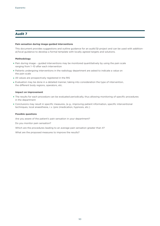#### **Pain sensation during image-guided interventions**

This document provides suggestions and outline guidance for an audit/QI project and can be used with additional/local guidance to develop a formal template with locally agreed targets and solutions.

#### **Methodology**

- ★ Pain during image guided interventions may be monitored quantitatively by using the pain scale ranging from 1-10 after each intervention
- ★ Patients undergoing interventions in the radiology department are asked to indicate a value on the pain scale
- ★ All values are prospectively registered in the RIS
- ★ Evaluation may be done in a detailed manner, taking into consideration the type of intervention, the different body regions, operators, etc.

#### **Impact on improvement**

- ★ The results for each procedure can be evaluated periodically, thus allowing monitoring of specific procedures in the department
- ★ Conclusions may result in specific measures, (e. g., improving patient information, specific interventional techniques, local anaesthesia, i. v. (pre-)medication, hypnosis, etc.)

#### **Possible questions**

Are you aware of the patient's pain sensation in your department?

Do you monitor pain sensation?

Which are the procedures leading to an average pain sensation greater than 4?

What are the proposed measures to improve the results?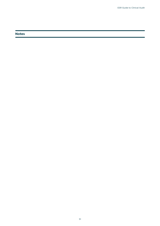**Notes**